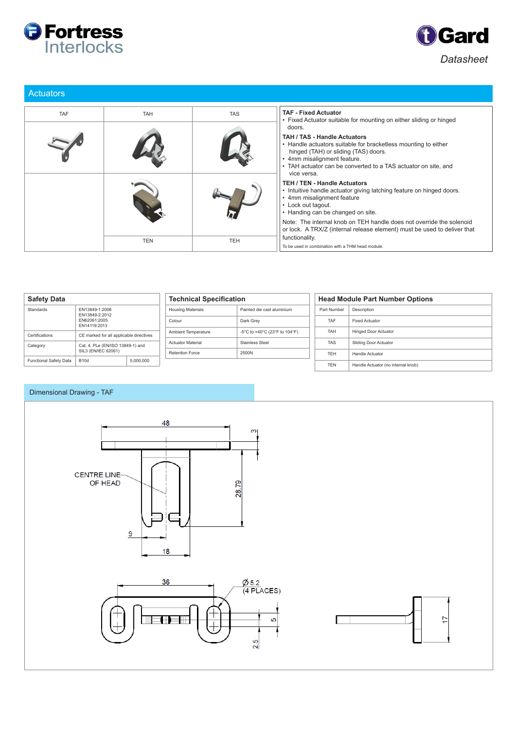



| <b>Actuators</b> |            |            |                                                                                                                                                                                                                                                                         |  |  |
|------------------|------------|------------|-------------------------------------------------------------------------------------------------------------------------------------------------------------------------------------------------------------------------------------------------------------------------|--|--|
| <b>TAF</b>       | <b>TAH</b> | <b>TAS</b> | <b>TAF - Fixed Actuator</b><br>• Fixed Actuator suitable for mounting on either sliding or hinged                                                                                                                                                                       |  |  |
|                  |            |            | doors.<br><b>TAH / TAS - Handle Actuators</b><br>• Handle actuators suitable for bracketless mounting to either<br>hinged (TAH) or sliding (TAS) doors.<br>• 4mm misalignment feature.<br>• TAH actuator can be converted to a TAS actuator on site, and<br>vice versa. |  |  |
|                  |            |            | <b>TEH / TEN - Handle Actuators</b><br>. Intuitive handle actuator giving latching feature on hinged doors.<br>4mm misalignment feature<br>• Lock out tagout.<br>• Handing can be changed on site.                                                                      |  |  |
|                  |            |            | Note: The internal knob on TEH handle does not override the solenoid<br>or lock. A TRX/Z (internal release element) must be used to deliver that                                                                                                                        |  |  |
|                  | <b>TEN</b> | <b>TEH</b> | functionality.<br>To be used in combination with a THM head module.                                                                                                                                                                                                     |  |  |

| <b>Safety Data</b>                                                            |                          | <b>Technical Specification</b> |                               | <b>Head Module Part Number Options</b> |                       |                                    |
|-------------------------------------------------------------------------------|--------------------------|--------------------------------|-------------------------------|----------------------------------------|-----------------------|------------------------------------|
| Standards<br>FN13849-1:2008<br>FN13849-2:2012<br>EN62061:2005<br>FN14119:2013 |                          | <b>Housing Materials</b>       | Painted die cast aluminium    | Part Number                            | Description           |                                    |
|                                                                               |                          | Colour                         | Dark Grey                     | TAF                                    | <b>Fixed Actuator</b> |                                    |
| Certifications<br>CE marked for all applicable directives                     |                          | Ambient Temperature            | -5°C to +40°C (23°F to 104°F) | <b>TAH</b>                             | Hinged Door Actuator  |                                    |
| Category<br>Cat. 4, PLe (EN/ISO 13849-1) and                                  |                          | <b>Actuator Material</b>       | <b>Stainless Steel</b>        | <b>TAS</b>                             | Sliding Door Actuator |                                    |
|                                                                               | SIL3 (EN/IEC 62061)      |                                | <b>Retention Force</b>        | 2500N                                  | <b>TFH</b>            | Handle Actuator                    |
| Functional Safety Data                                                        | <b>B10d</b><br>5,000,000 |                                |                               |                                        | <b>TEN</b>            | Handle Actuator (no internal knob) |

## Dimensional Drawing - TAF





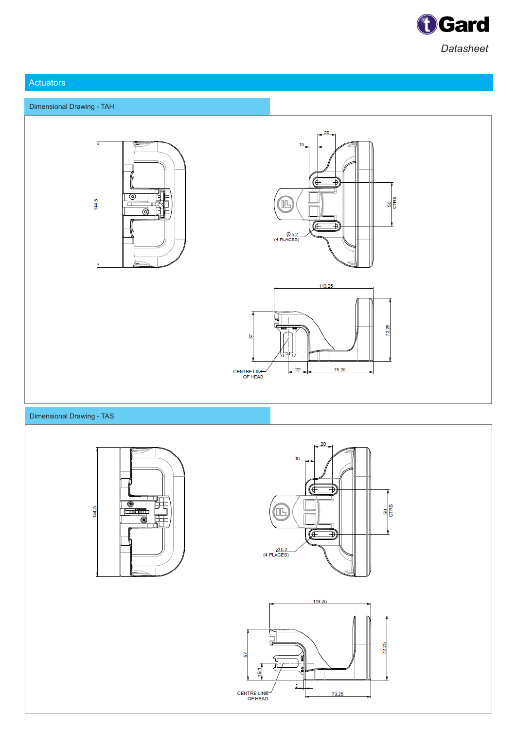

## Actuators









## Dimensional Drawing - TAS